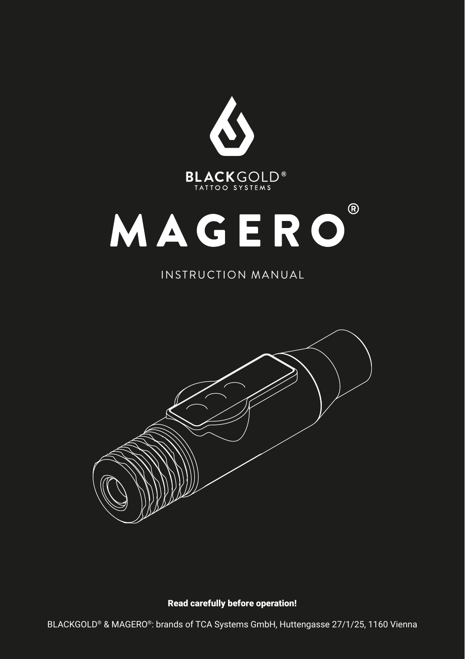



#### INSTRUCTION MANUAL



Read carefully before operation!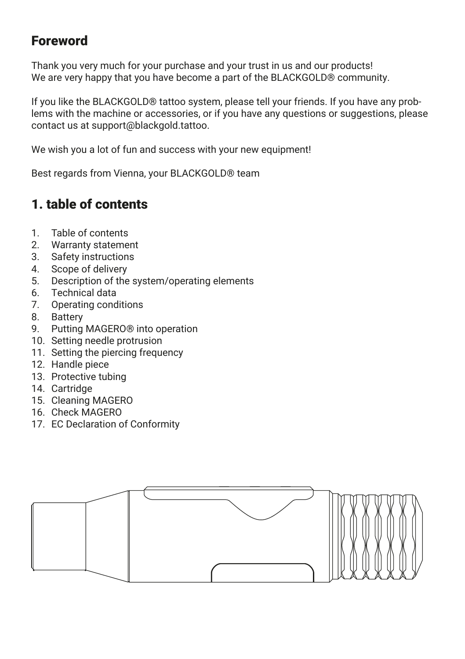#### Foreword

Thank you very much for your purchase and your trust in us and our products! We are very happy that you have become a part of the BLACKGOLD<sup>®</sup> community.

If you like the BLACKGOLD® tattoo system, please tell your friends. If you have any problems with the machine or accessories, or if you have any questions or suggestions, please contact us at support@blackgold.tattoo.

We wish you a lot of fun and success with your new equipment!

Best regards from Vienna, your BLACKGOLD® team

# 1. table of contents

- 1. Table of contents<br>2. Warranty stateme
- Warranty statement
- 3. Safety instructions
- 4. Scope of delivery
- 5. Description of the system/operating elements
- 6. Technical data
- 7. Operating conditions
- 8. Battery
- 9. Putting MAGERO® into operation
- 10. Setting needle protrusion
- 11. Setting the piercing frequency
- 12. Handle piece
- 13. Protective tubing
- 14. Cartridge
- 15. Cleaning MAGERO
- 16. Check MAGERO
- 17. EC Declaration of Conformity

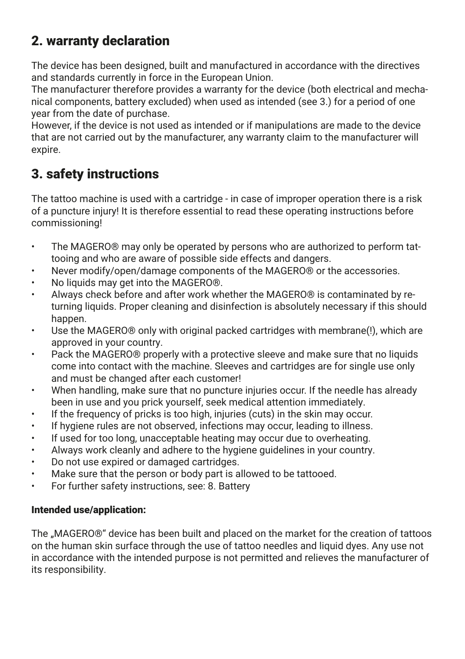#### 2. warranty declaration

The device has been designed, built and manufactured in accordance with the directives and standards currently in force in the European Union.

The manufacturer therefore provides a warranty for the device (both electrical and mechanical components, battery excluded) when used as intended (see 3.) for a period of one year from the date of purchase.

However, if the device is not used as intended or if manipulations are made to the device that are not carried out by the manufacturer, any warranty claim to the manufacturer will expire.

# 3. safety instructions

The tattoo machine is used with a cartridge - in case of improper operation there is a risk of a puncture injury! It is therefore essential to read these operating instructions before commissioning!

- The MAGERO® may only be operated by persons who are authorized to perform tattooing and who are aware of possible side effects and dangers.
- Never modify/open/damage components of the MAGERO® or the accessories.
- No liquids may get into the MAGERO®.
- Always check before and after work whether the MAGERO® is contaminated by returning liquids. Proper cleaning and disinfection is absolutely necessary if this should happen.
- Use the MAGERO® only with original packed cartridges with membrane(!), which are approved in your country.
- Pack the MAGERO® properly with a protective sleeve and make sure that no liquids come into contact with the machine. Sleeves and cartridges are for single use only and must be changed after each customer!
- When handling, make sure that no puncture injuries occur. If the needle has already been in use and you prick yourself, seek medical attention immediately.
- If the frequency of pricks is too high, injuries (cuts) in the skin may occur.
- If hygiene rules are not observed, infections may occur, leading to illness.
- If used for too long, unacceptable heating may occur due to overheating.
- Always work cleanly and adhere to the hygiene guidelines in your country.
- Do not use expired or damaged cartridges.
- Make sure that the person or body part is allowed to be tattooed.
- For further safety instructions, see: 8. Battery

#### Intended use/application:

The "MAGERO®" device has been built and placed on the market for the creation of tattoos on the human skin surface through the use of tattoo needles and liquid dyes. Any use not in accordance with the intended purpose is not permitted and relieves the manufacturer of its responsibility.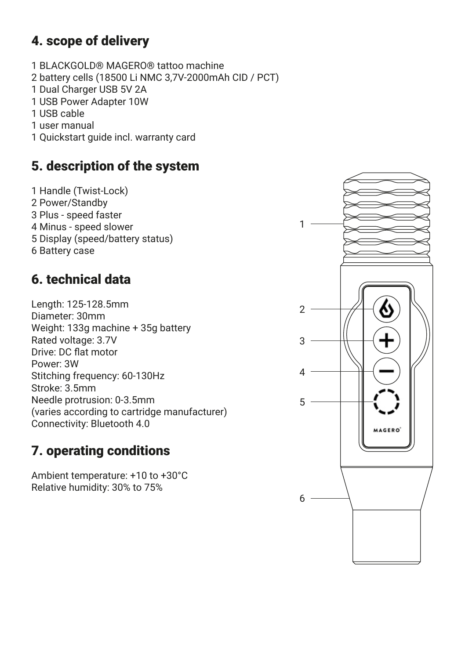# 4. scope of delivery

1 BLACKGOLD® MAGERO® tattoo machine 2 battery cells (18500 Li NMC 3,7V-2000mAh CID / PCT) 1 Dual Charger USB 5V 2A 1 USB Power Adapter 10W 1 USB cable 1 user manual 1 Quickstart guide incl. warranty card

### 5. description of the system

1 Handle (Twist-Lock) 2 Power/Standby 3 Plus - speed faster 4 Minus - speed slower 5 Display (speed/battery status) 6 Battery case

#### 6. technical data

Length: 125-128.5mm Diameter: 30mm Weight: 133g machine + 35g battery Rated voltage: 3.7V Drive: DC flat motor Power: 3W Stitching frequency: 60-130Hz Stroke: 3.5mm Needle protrusion: 0-3.5mm (varies according to cartridge manufacturer) Connectivity: Bluetooth 4.0

### 7. operating conditions

Ambient temperature: +10 to +30°C Relative humidity: 30% to 75%

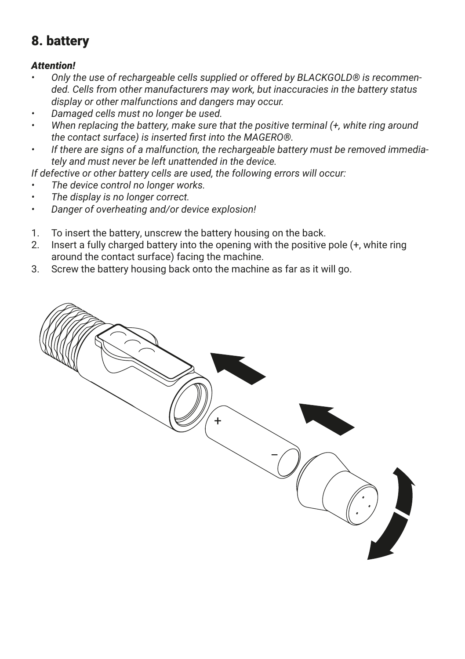# 8. battery

#### *Attention!*

- *• Only the use of rechargeable cells supplied or offered by BLACKGOLD® is recommended. Cells from other manufacturers may work, but inaccuracies in the battery status display or other malfunctions and dangers may occur.*
- *• Damaged cells must no longer be used.*
- *• When replacing the battery, make sure that the positive terminal (+, white ring around the contact surface) is inserted first into the MAGERO®.*
- *• If there are signs of a malfunction, the rechargeable battery must be removed immediately and must never be left unattended in the device.*

*If defective or other battery cells are used, the following errors will occur:*

- *• The device control no longer works.*
- *• The display is no longer correct.*
- *• Danger of overheating and/or device explosion!*
- 1. To insert the battery, unscrew the battery housing on the back.
- 2. Insert a fully charged battery into the opening with the positive pole (+, white ring around the contact surface) facing the machine.
- 3. Screw the battery housing back onto the machine as far as it will go.

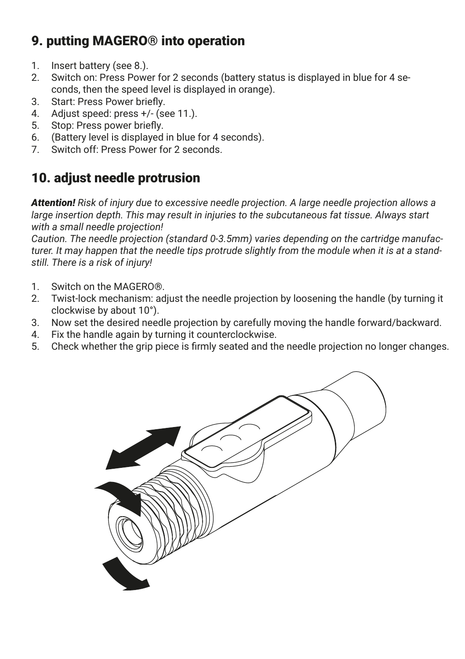# 9. putting MAGERO® into operation

- 1. Insert battery (see 8.).
- 2. Switch on: Press Power for 2 seconds (battery status is displayed in blue for 4 seconds, then the speed level is displayed in orange).
- 3. Start: Press Power briefly.
- 4. Adjust speed: press +/- (see 11.).
- 5. Stop: Press power briefly.
- 6. (Battery level is displayed in blue for 4 seconds).<br>7. Switch off: Press Power for 2 seconds
- Switch off: Press Power for 2 seconds

# 10. adjust needle protrusion

*Attention! Risk of injury due to excessive needle projection. A large needle projection allows a large insertion depth. This may result in injuries to the subcutaneous fat tissue. Always start with a small needle projection!*

*Caution. The needle projection (standard 0-3.5mm) varies depending on the cartridge manufacturer. It may happen that the needle tips protrude slightly from the module when it is at a standstill. There is a risk of injury!*

- 1. Switch on the MAGERO®.
- 2. Twist-lock mechanism: adjust the needle projection by loosening the handle (by turning it clockwise by about 10°).
- 3. Now set the desired needle projection by carefully moving the handle forward/backward.
- 4. Fix the handle again by turning it counterclockwise.
- 5. Check whether the grip piece is firmly seated and the needle projection no longer changes.

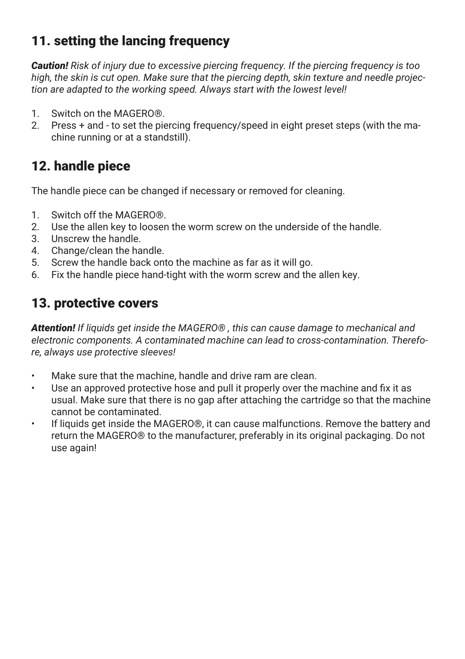### 11. setting the lancing frequency

*Caution! Risk of injury due to excessive piercing frequency. If the piercing frequency is too high, the skin is cut open. Make sure that the piercing depth, skin texture and needle projection are adapted to the working speed. Always start with the lowest level!*

- 1. Switch on the MAGERO®.
- 2. Press + and to set the piercing frequency/speed in eight preset steps (with the machine running or at a standstill).

#### 12. handle piece

The handle piece can be changed if necessary or removed for cleaning.

- 1. Switch off the MAGERO®.
- 2. Use the allen key to loosen the worm screw on the underside of the handle.
- 3. Unscrew the handle.
- 4. Change/clean the handle.
- 5. Screw the handle back onto the machine as far as it will go.
- 6. Fix the handle piece hand-tight with the worm screw and the allen key.

#### 13. protective covers

*Attention! If liquids get inside the MAGERO® , this can cause damage to mechanical and electronic components. A contaminated machine can lead to cross-contamination. Therefore, always use protective sleeves!*

- Make sure that the machine, handle and drive ram are clean.
- Use an approved protective hose and pull it properly over the machine and fix it as usual. Make sure that there is no gap after attaching the cartridge so that the machine cannot be contaminated.
- If liquids get inside the MAGERO®, it can cause malfunctions. Remove the battery and return the MAGERO® to the manufacturer, preferably in its original packaging. Do not use again!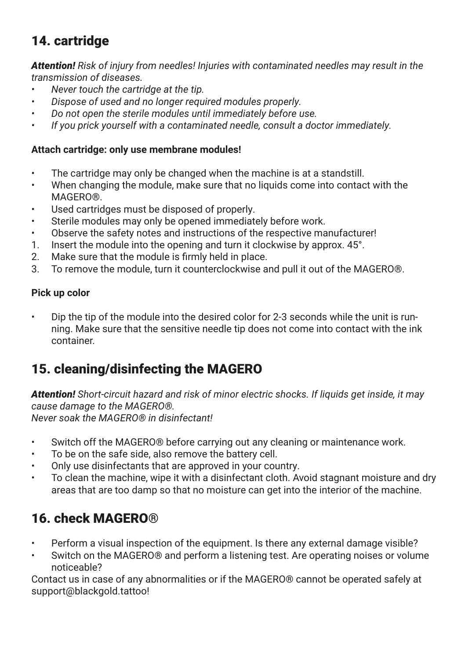# 14. cartridge

*Attention! Risk of injury from needles! Injuries with contaminated needles may result in the transmission of diseases.* 

- *• Never touch the cartridge at the tip.*
- *• Dispose of used and no longer required modules properly.*
- *• Do not open the sterile modules until immediately before use.*
- *• If you prick yourself with a contaminated needle, consult a doctor immediately.*

#### **Attach cartridge: only use membrane modules!**

- The cartridge may only be changed when the machine is at a standstill.
- When changing the module, make sure that no liquids come into contact with the MAGERO®.
- Used cartridges must be disposed of properly.
- Sterile modules may only be opened immediately before work.
- Observe the safety notes and instructions of the respective manufacturer!
- 1. Insert the module into the opening and turn it clockwise by approx. 45°.
- 2. Make sure that the module is firmly held in place.
- 3. To remove the module, turn it counterclockwise and pull it out of the MAGERO®.

#### **Pick up color**

• Dip the tip of the module into the desired color for 2-3 seconds while the unit is running. Make sure that the sensitive needle tip does not come into contact with the ink container.

# 15. cleaning/disinfecting the MAGERO

*Attention! Short-circuit hazard and risk of minor electric shocks. If liquids get inside, it may cause damage to the MAGERO®.* 

*Never soak the MAGERO® in disinfectant!* 

- Switch off the MAGERO® before carrying out any cleaning or maintenance work.
- To be on the safe side, also remove the battery cell.
- Only use disinfectants that are approved in your country.
- To clean the machine, wipe it with a disinfectant cloth. Avoid stagnant moisture and dry areas that are too damp so that no moisture can get into the interior of the machine.

# 16. check MAGERO®

- Perform a visual inspection of the equipment. Is there any external damage visible?
- Switch on the MAGERO® and perform a listening test. Are operating noises or volume noticeable?

Contact us in case of any abnormalities or if the MAGERO® cannot be operated safely at support@blackgold.tattoo!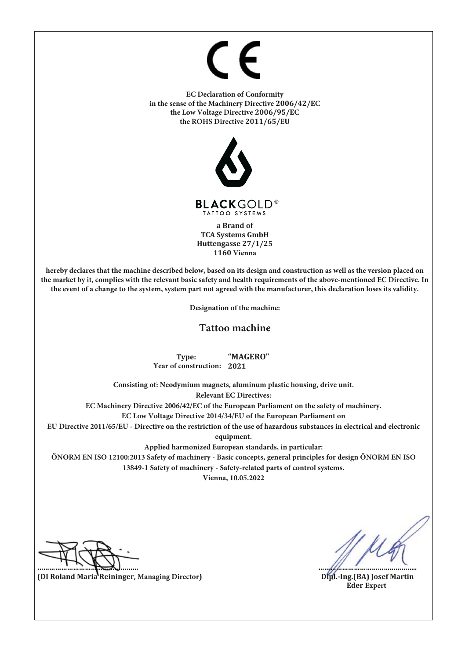

**EC Declaration of Conformity in the sense of the Machinery Directive 2006/42/EC the Low Voltage Directive 2006/95/EC the ROHS Directive 2011/65/EU** 



**a Brand of TCA Systems GmbH Huttengasse 27/1/25 1160 Vienna**

**hereby declares that the machine described below, based on its design and construction as well as the version placed on the market by it, complies with the relevant basic safety and health requirements of the above-mentioned EC Directive. In the event of a change to the system, system part not agreed with the manufacturer, this declaration loses its validity.** 

**Designation of the machine:** 

#### **Tattoo machine**

**Type: "MAGERO" Year of construction: 2021**

**Consisting of: Neodymium magnets, aluminum plastic housing, drive unit. Relevant EC Directives:** 

**EC Machinery Directive 2006/42/EC of the European Parliament on the safety of machinery.** 

**EC Low Voltage Directive 2014/34/EU of the European Parliament on** 

**EU Directive 2011/65/EU - Directive on the restriction of the use of hazardous substances in electrical and electronic** 

**equipment.** 

**Applied harmonized European standards, in particular:** 

**ÖNORM EN ISO 12100:2013 Safety of machinery - Basic concepts, general principles for design ÖNORM EN ISO 13849-1 Safety of machinery - Safety-related parts of control systems.** 

**Vienna, 10.05.2022** 

**…………………………………………… …………………………………………..**

**Eder Expert**

**(DI Roland Maria Reininger, Managing Director) Dipl.-Ing.(BA) Josef Martin**